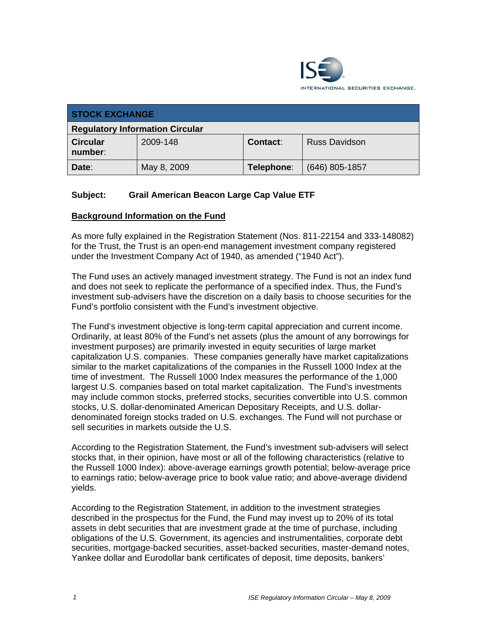

| <b>STOCK EXCHANGE</b>                  |             |            |                      |
|----------------------------------------|-------------|------------|----------------------|
| <b>Regulatory Information Circular</b> |             |            |                      |
| <b>Circular</b><br>number:             | 2009-148    | Contact:   | <b>Russ Davidson</b> |
| Date:                                  | May 8, 2009 | Telephone: | $(646)$ 805-1857     |

# **Subject: Grail American Beacon Large Cap Value ETF**

### **Background Information on the Fund**

As more fully explained in the Registration Statement (Nos. 811-22154 and 333-148082) for the Trust, the Trust is an open-end management investment company registered under the Investment Company Act of 1940, as amended ("1940 Act").

The Fund uses an actively managed investment strategy. The Fund is not an index fund and does not seek to replicate the performance of a specified index. Thus, the Fund's investment sub-advisers have the discretion on a daily basis to choose securities for the Fund's portfolio consistent with the Fund's investment objective.

The Fund's investment objective is long-term capital appreciation and current income. Ordinarily, at least 80% of the Fund's net assets (plus the amount of any borrowings for investment purposes) are primarily invested in equity securities of large market capitalization U.S. companies. These companies generally have market capitalizations similar to the market capitalizations of the companies in the Russell 1000 Index at the time of investment. The Russell 1000 Index measures the performance of the 1,000 largest U.S. companies based on total market capitalization. The Fund's investments may include common stocks, preferred stocks, securities convertible into U.S. common stocks, U.S. dollar-denominated American Depositary Receipts, and U.S. dollardenominated foreign stocks traded on U.S. exchanges. The Fund will not purchase or sell securities in markets outside the U.S.

According to the Registration Statement, the Fund's investment sub-advisers will select stocks that, in their opinion, have most or all of the following characteristics (relative to the Russell 1000 Index): above-average earnings growth potential; below-average price to earnings ratio; below-average price to book value ratio; and above-average dividend yields.

According to the Registration Statement, in addition to the investment strategies described in the prospectus for the Fund, the Fund may invest up to 20% of its total assets in debt securities that are investment grade at the time of purchase, including obligations of the U.S. Government, its agencies and instrumentalities, corporate debt securities, mortgage-backed securities, asset-backed securities, master-demand notes, Yankee dollar and Eurodollar bank certificates of deposit, time deposits, bankers'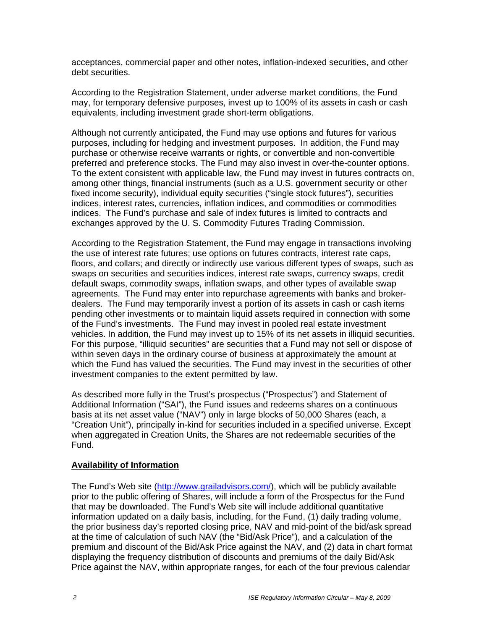acceptances, commercial paper and other notes, inflation-indexed securities, and other debt securities.

According to the Registration Statement, under adverse market conditions, the Fund may, for temporary defensive purposes, invest up to 100% of its assets in cash or cash equivalents, including investment grade short-term obligations.

Although not currently anticipated, the Fund may use options and futures for various purposes, including for hedging and investment purposes. In addition, the Fund may purchase or otherwise receive warrants or rights, or convertible and non-convertible preferred and preference stocks. The Fund may also invest in over-the-counter options. To the extent consistent with applicable law, the Fund may invest in futures contracts on, among other things, financial instruments (such as a U.S. government security or other fixed income security), individual equity securities ("single stock futures"), securities indices, interest rates, currencies, inflation indices, and commodities or commodities indices. The Fund's purchase and sale of index futures is limited to contracts and exchanges approved by the U. S. Commodity Futures Trading Commission.

According to the Registration Statement, the Fund may engage in transactions involving the use of interest rate futures; use options on futures contracts, interest rate caps, floors, and collars; and directly or indirectly use various different types of swaps, such as swaps on securities and securities indices, interest rate swaps, currency swaps, credit default swaps, commodity swaps, inflation swaps, and other types of available swap agreements. The Fund may enter into repurchase agreements with banks and brokerdealers. The Fund may temporarily invest a portion of its assets in cash or cash items pending other investments or to maintain liquid assets required in connection with some of the Fund's investments. The Fund may invest in pooled real estate investment vehicles. In addition, the Fund may invest up to 15% of its net assets in illiquid securities. For this purpose, "illiquid securities" are securities that a Fund may not sell or dispose of within seven days in the ordinary course of business at approximately the amount at which the Fund has valued the securities. The Fund may invest in the securities of other investment companies to the extent permitted by law.

As described more fully in the Trust's prospectus ("Prospectus") and Statement of Additional Information ("SAI"), the Fund issues and redeems shares on a continuous basis at its net asset value ("NAV") only in large blocks of 50,000 Shares (each, a "Creation Unit"), principally in-kind for securities included in a specified universe. Except when aggregated in Creation Units, the Shares are not redeemable securities of the Fund.

# **Availability of Information**

The Fund's Web site (http://www.grailadvisors.com/), which will be publicly available prior to the public offering of Shares, will include a form of the Prospectus for the Fund that may be downloaded. The Fund's Web site will include additional quantitative information updated on a daily basis, including, for the Fund, (1) daily trading volume, the prior business day's reported closing price, NAV and mid-point of the bid/ask spread at the time of calculation of such NAV (the "Bid/Ask Price"), and a calculation of the premium and discount of the Bid/Ask Price against the NAV, and (2) data in chart format displaying the frequency distribution of discounts and premiums of the daily Bid/Ask Price against the NAV, within appropriate ranges, for each of the four previous calendar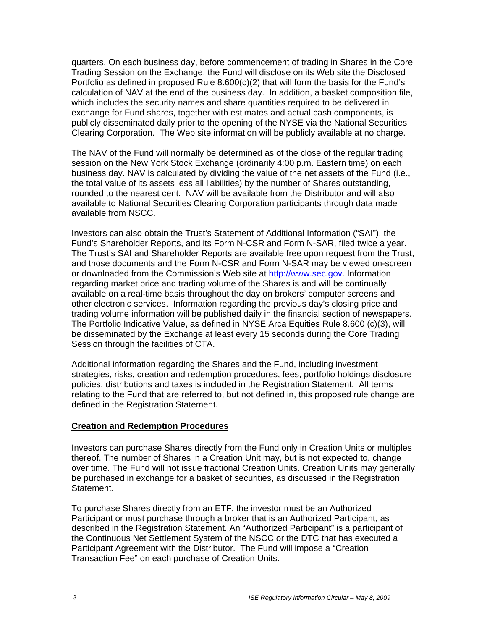quarters. On each business day, before commencement of trading in Shares in the Core Trading Session on the Exchange, the Fund will disclose on its Web site the Disclosed Portfolio as defined in proposed Rule  $8.600(c)(2)$  that will form the basis for the Fund's calculation of NAV at the end of the business day. In addition, a basket composition file, which includes the security names and share quantities required to be delivered in exchange for Fund shares, together with estimates and actual cash components, is publicly disseminated daily prior to the opening of the NYSE via the National Securities Clearing Corporation. The Web site information will be publicly available at no charge.

The NAV of the Fund will normally be determined as of the close of the regular trading session on the New York Stock Exchange (ordinarily 4:00 p.m. Eastern time) on each business day. NAV is calculated by dividing the value of the net assets of the Fund (i.e., the total value of its assets less all liabilities) by the number of Shares outstanding, rounded to the nearest cent. NAV will be available from the Distributor and will also available to National Securities Clearing Corporation participants through data made available from NSCC.

Investors can also obtain the Trust's Statement of Additional Information ("SAI"), the Fund's Shareholder Reports, and its Form N-CSR and Form N-SAR, filed twice a year. The Trust's SAI and Shareholder Reports are available free upon request from the Trust, and those documents and the Form N-CSR and Form N-SAR may be viewed on-screen or downloaded from the Commission's Web site at http://www.sec.gov. Information regarding market price and trading volume of the Shares is and will be continually available on a real-time basis throughout the day on brokers' computer screens and other electronic services. Information regarding the previous day's closing price and trading volume information will be published daily in the financial section of newspapers. The Portfolio Indicative Value, as defined in NYSE Arca Equities Rule 8.600 (c)(3), will be disseminated by the Exchange at least every 15 seconds during the Core Trading Session through the facilities of CTA.

Additional information regarding the Shares and the Fund, including investment strategies, risks, creation and redemption procedures, fees, portfolio holdings disclosure policies, distributions and taxes is included in the Registration Statement. All terms relating to the Fund that are referred to, but not defined in, this proposed rule change are defined in the Registration Statement.

# **Creation and Redemption Procedures**

Investors can purchase Shares directly from the Fund only in Creation Units or multiples thereof. The number of Shares in a Creation Unit may, but is not expected to, change over time. The Fund will not issue fractional Creation Units. Creation Units may generally be purchased in exchange for a basket of securities, as discussed in the Registration Statement.

To purchase Shares directly from an ETF, the investor must be an Authorized Participant or must purchase through a broker that is an Authorized Participant, as described in the Registration Statement. An "Authorized Participant" is a participant of the Continuous Net Settlement System of the NSCC or the DTC that has executed a Participant Agreement with the Distributor. The Fund will impose a "Creation Transaction Fee" on each purchase of Creation Units.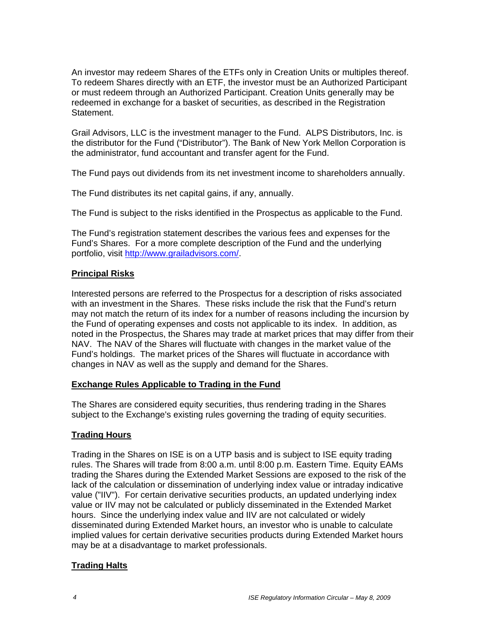An investor may redeem Shares of the ETFs only in Creation Units or multiples thereof. To redeem Shares directly with an ETF, the investor must be an Authorized Participant or must redeem through an Authorized Participant. Creation Units generally may be redeemed in exchange for a basket of securities, as described in the Registration Statement.

Grail Advisors, LLC is the investment manager to the Fund. ALPS Distributors, Inc. is the distributor for the Fund ("Distributor"). The Bank of New York Mellon Corporation is the administrator, fund accountant and transfer agent for the Fund.

The Fund pays out dividends from its net investment income to shareholders annually.

The Fund distributes its net capital gains, if any, annually.

The Fund is subject to the risks identified in the Prospectus as applicable to the Fund.

The Fund's registration statement describes the various fees and expenses for the Fund's Shares. For a more complete description of the Fund and the underlying portfolio, visit http://www.grailadvisors.com/.

# **Principal Risks**

Interested persons are referred to the Prospectus for a description of risks associated with an investment in the Shares. These risks include the risk that the Fund's return may not match the return of its index for a number of reasons including the incursion by the Fund of operating expenses and costs not applicable to its index. In addition, as noted in the Prospectus, the Shares may trade at market prices that may differ from their NAV. The NAV of the Shares will fluctuate with changes in the market value of the Fund's holdings. The market prices of the Shares will fluctuate in accordance with changes in NAV as well as the supply and demand for the Shares.

# **Exchange Rules Applicable to Trading in the Fund**

The Shares are considered equity securities, thus rendering trading in the Shares subject to the Exchange's existing rules governing the trading of equity securities.

# **Trading Hours**

Trading in the Shares on ISE is on a UTP basis and is subject to ISE equity trading rules. The Shares will trade from 8:00 a.m. until 8:00 p.m. Eastern Time. Equity EAMs trading the Shares during the Extended Market Sessions are exposed to the risk of the lack of the calculation or dissemination of underlying index value or intraday indicative value ("IIV"). For certain derivative securities products, an updated underlying index value or IIV may not be calculated or publicly disseminated in the Extended Market hours. Since the underlying index value and IIV are not calculated or widely disseminated during Extended Market hours, an investor who is unable to calculate implied values for certain derivative securities products during Extended Market hours may be at a disadvantage to market professionals.

# **Trading Halts**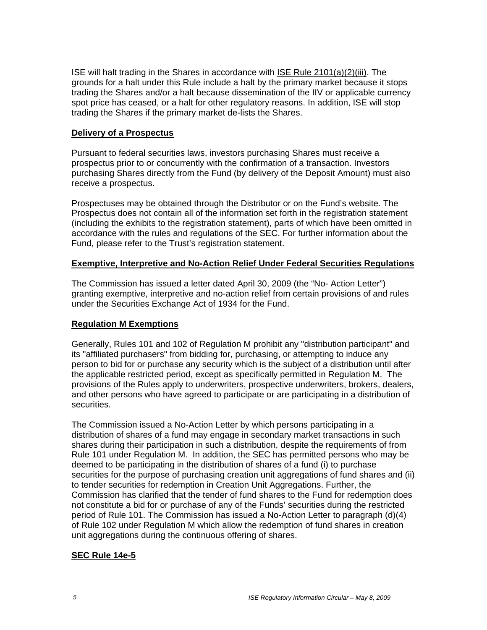ISE will halt trading in the Shares in accordance with ISE Rule 2101(a)(2)(iii). The grounds for a halt under this Rule include a halt by the primary market because it stops trading the Shares and/or a halt because dissemination of the IIV or applicable currency spot price has ceased, or a halt for other regulatory reasons. In addition, ISE will stop trading the Shares if the primary market de-lists the Shares.

### **Delivery of a Prospectus**

Pursuant to federal securities laws, investors purchasing Shares must receive a prospectus prior to or concurrently with the confirmation of a transaction. Investors purchasing Shares directly from the Fund (by delivery of the Deposit Amount) must also receive a prospectus.

Prospectuses may be obtained through the Distributor or on the Fund's website. The Prospectus does not contain all of the information set forth in the registration statement (including the exhibits to the registration statement), parts of which have been omitted in accordance with the rules and regulations of the SEC. For further information about the Fund, please refer to the Trust's registration statement.

### **Exemptive, Interpretive and No-Action Relief Under Federal Securities Regulations**

The Commission has issued a letter dated April 30, 2009 (the "No- Action Letter") granting exemptive, interpretive and no-action relief from certain provisions of and rules under the Securities Exchange Act of 1934 for the Fund.

# **Regulation M Exemptions**

Generally, Rules 101 and 102 of Regulation M prohibit any "distribution participant" and its "affiliated purchasers" from bidding for, purchasing, or attempting to induce any person to bid for or purchase any security which is the subject of a distribution until after the applicable restricted period, except as specifically permitted in Regulation M. The provisions of the Rules apply to underwriters, prospective underwriters, brokers, dealers, and other persons who have agreed to participate or are participating in a distribution of securities.

The Commission issued a No-Action Letter by which persons participating in a distribution of shares of a fund may engage in secondary market transactions in such shares during their participation in such a distribution, despite the requirements of from Rule 101 under Regulation M. In addition, the SEC has permitted persons who may be deemed to be participating in the distribution of shares of a fund (i) to purchase securities for the purpose of purchasing creation unit aggregations of fund shares and (ii) to tender securities for redemption in Creation Unit Aggregations. Further, the Commission has clarified that the tender of fund shares to the Fund for redemption does not constitute a bid for or purchase of any of the Funds' securities during the restricted period of Rule 101. The Commission has issued a No-Action Letter to paragraph (d)(4) of Rule 102 under Regulation M which allow the redemption of fund shares in creation unit aggregations during the continuous offering of shares.

# **SEC Rule 14e-5**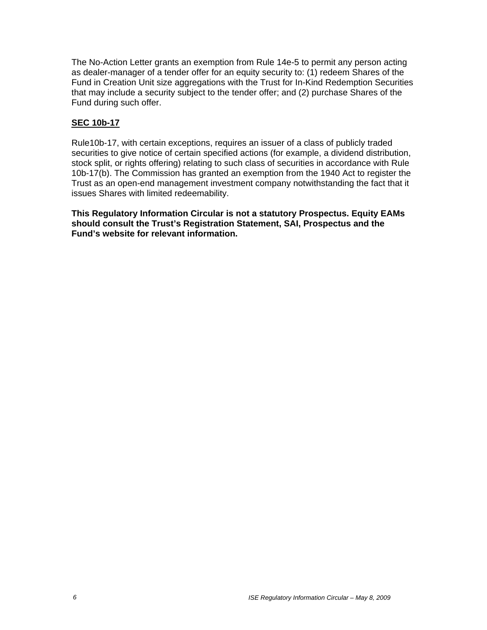The No-Action Letter grants an exemption from Rule 14e-5 to permit any person acting as dealer-manager of a tender offer for an equity security to: (1) redeem Shares of the Fund in Creation Unit size aggregations with the Trust for In-Kind Redemption Securities that may include a security subject to the tender offer; and (2) purchase Shares of the Fund during such offer.

# **SEC 10b-17**

Rule10b-17, with certain exceptions, requires an issuer of a class of publicly traded securities to give notice of certain specified actions (for example, a dividend distribution, stock split, or rights offering) relating to such class of securities in accordance with Rule 10b-17(b). The Commission has granted an exemption from the 1940 Act to register the Trust as an open-end management investment company notwithstanding the fact that it issues Shares with limited redeemability.

**This Regulatory Information Circular is not a statutory Prospectus. Equity EAMs should consult the Trust's Registration Statement, SAI, Prospectus and the Fund's website for relevant information.**